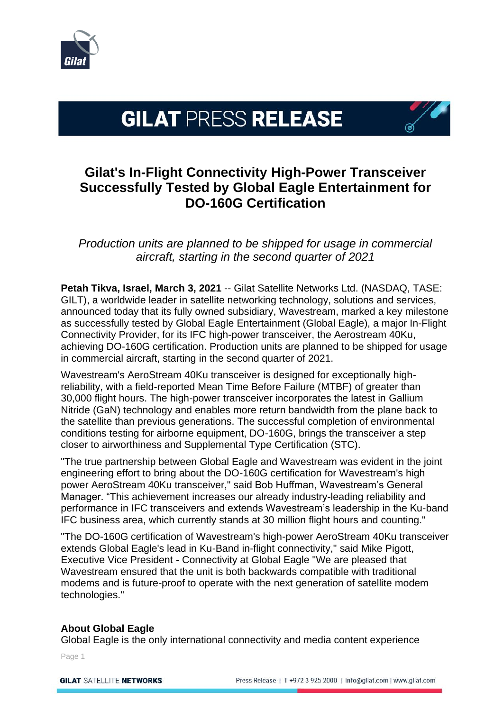

# **GILAT PRESS RELEASE**

## **Gilat's In-Flight Connectivity High-Power Transceiver Successfully Tested by Global Eagle Entertainment for DO-160G Certification**

*Production units are planned to be shipped for usage in commercial aircraft, starting in the second quarter of 2021*

**Petah Tikva, Israel, March 3, 2021** -- Gilat Satellite Networks Ltd. (NASDAQ, TASE: GILT), a worldwide leader in satellite networking technology, solutions and services, announced today that its fully owned subsidiary, Wavestream, marked a key milestone as successfully tested by Global Eagle Entertainment (Global Eagle), a major In-Flight Connectivity Provider, for its IFC high-power transceiver, the Aerostream 40Ku, achieving DO-160G certification. Production units are planned to be shipped for usage in commercial aircraft, starting in the second quarter of 2021.

Wavestream's AeroStream 40Ku transceiver is designed for exceptionally highreliability, with a field-reported Mean Time Before Failure (MTBF) of greater than 30,000 flight hours. The high-power transceiver incorporates the latest in Gallium Nitride (GaN) technology and enables more return bandwidth from the plane back to the satellite than previous generations. The successful completion of environmental conditions testing for airborne equipment, DO-160G, brings the transceiver a step closer to airworthiness and Supplemental Type Certification (STC).

"The true partnership between Global Eagle and Wavestream was evident in the joint engineering effort to bring about the DO-160G certification for Wavestream's high power AeroStream 40Ku transceiver," said Bob Huffman, Wavestream's General Manager. "This achievement increases our already industry-leading reliability and performance in IFC transceivers and extends Wavestream's leadership in the Ku-band IFC business area, which currently stands at 30 million flight hours and counting."

"The DO-160G certification of Wavestream's high-power AeroStream 40Ku transceiver extends Global Eagle's lead in Ku-Band in-flight connectivity," said Mike Pigott, Executive Vice President - Connectivity at Global Eagle "We are pleased that Wavestream ensured that the unit is both backwards compatible with traditional modems and is future-proof to operate with the next generation of satellite modem technologies."

### **About Global Eagle**

Global Eagle is the only international connectivity and media content experience

Page 1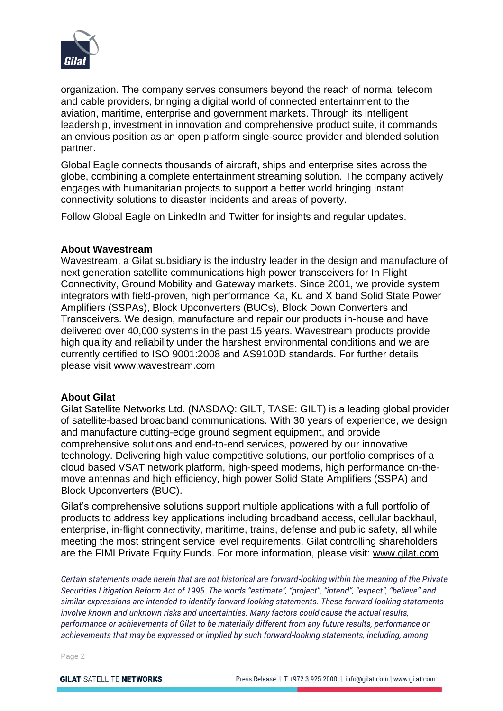

organization. The company serves consumers beyond the reach of normal telecom and cable providers, bringing a digital world of connected entertainment to the aviation, maritime, enterprise and government markets. Through its intelligent leadership, investment in innovation and comprehensive product suite, it commands an envious position as an open platform single-source provider and blended solution partner.

Global Eagle connects thousands of aircraft, ships and enterprise sites across the globe, combining a complete entertainment streaming solution. The company actively engages with humanitarian projects to support a better world bringing instant connectivity solutions to disaster incidents and areas of poverty.

Follow Global Eagle on LinkedIn and Twitter for insights and regular updates.

#### **About Wavestream**

Wavestream, a Gilat subsidiary is the industry leader in the design and manufacture of next generation satellite communications high power transceivers for In Flight Connectivity, Ground Mobility and Gateway markets. Since 2001, we provide system integrators with field-proven, high performance Ka, Ku and X band Solid State Power Amplifiers (SSPAs), Block Upconverters (BUCs), Block Down Converters and Transceivers. We design, manufacture and repair our products in-house and have delivered over 40,000 systems in the past 15 years. Wavestream products provide high quality and reliability under the harshest environmental conditions and we are currently certified to ISO 9001:2008 and AS9100D standards. For further details please visit www.wavestream.com

### **About Gilat**

Gilat Satellite Networks Ltd. (NASDAQ: GILT, TASE: GILT) is a leading global provider of satellite-based broadband communications. With 30 years of experience, we design and manufacture cutting-edge ground segment equipment, and provide comprehensive solutions and end-to-end services, powered by our innovative technology. Delivering high value competitive solutions, our portfolio comprises of a cloud based VSAT network platform, high-speed modems, high performance on-themove antennas and high efficiency, high power Solid State Amplifiers (SSPA) and Block Upconverters (BUC).

Gilat's comprehensive solutions support multiple applications with a full portfolio of products to address key applications including broadband access, cellular backhaul, enterprise, in-flight connectivity, maritime, trains, defense and public safety, all while meeting the most stringent service level requirements. Gilat controlling shareholders are the FIMI Private Equity Funds. For more information, please visit: [www.gilat.com](http://www.gilat.com/)

*Certain statements made herein that are not historical are forward-looking within the meaning of the Private Securities Litigation Reform Act of 1995. The words "estimate", "project", "intend", "expect", "believe" and similar expressions are intended to identify forward-looking statements. These forward-looking statements involve known and unknown risks and uncertainties. Many factors could cause the actual results, performance or achievements of Gilat to be materially different from any future results, performance or achievements that may be expressed or implied by such forward-looking statements, including, among* 

Page 2